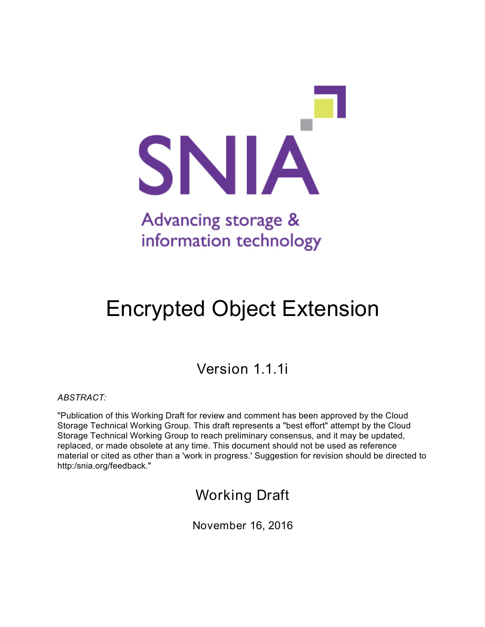

# Encrypted Object Extension

# Version 1.1.1i

*ABSTRACT:*

"Publication of this Working Draft for review and comment has been approved by the Cloud Storage Technical Working Group. This draft represents a "best effort" attempt by the Cloud Storage Technical Working Group to reach preliminary consensus, and it may be updated, replaced, or made obsolete at any time. This document should not be used as reference material or cited as other than a 'work in progress.' Suggestion for revision should be directed to http:/snia.org/feedback."

# Working Draft

November 16, 2016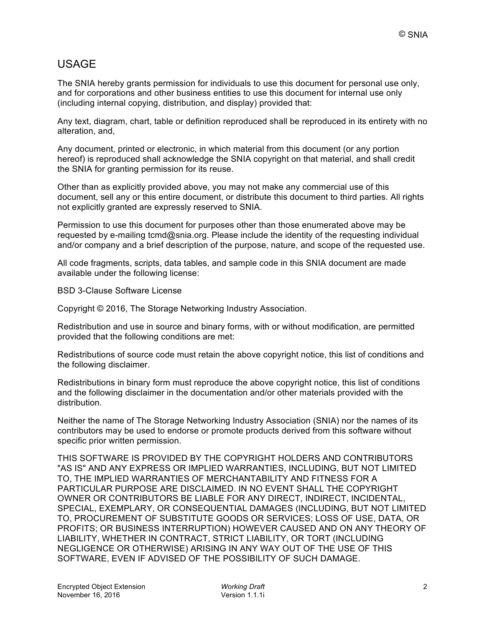### USAGE

The SNIA hereby grants permission for individuals to use this document for personal use only, and for corporations and other business entities to use this document for internal use only (including internal copying, distribution, and display) provided that:

Any text, diagram, chart, table or definition reproduced shall be reproduced in its entirety with no alteration, and,

Any document, printed or electronic, in which material from this document (or any portion hereof) is reproduced shall acknowledge the SNIA copyright on that material, and shall credit the SNIA for granting permission for its reuse.

Other than as explicitly provided above, you may not make any commercial use of this document, sell any or this entire document, or distribute this document to third parties. All rights not explicitly granted are expressly reserved to SNIA.

Permission to use this document for purposes other than those enumerated above may be requested by e-mailing tcmd@snia.org. Please include the identity of the requesting individual and/or company and a brief description of the purpose, nature, and scope of the requested use.

All code fragments, scripts, data tables, and sample code in this SNIA document are made available under the following license:

BSD 3-Clause Software License

Copyright © 2016, The Storage Networking Industry Association.

Redistribution and use in source and binary forms, with or without modification, are permitted provided that the following conditions are met:

Redistributions of source code must retain the above copyright notice, this list of conditions and the following disclaimer.

Redistributions in binary form must reproduce the above copyright notice, this list of conditions and the following disclaimer in the documentation and/or other materials provided with the distribution.

Neither the name of The Storage Networking Industry Association (SNIA) nor the names of its contributors may be used to endorse or promote products derived from this software without specific prior written permission.

THIS SOFTWARE IS PROVIDED BY THE COPYRIGHT HOLDERS AND CONTRIBUTORS "AS IS" AND ANY EXPRESS OR IMPLIED WARRANTIES, INCLUDING, BUT NOT LIMITED TO, THE IMPLIED WARRANTIES OF MERCHANTABILITY AND FITNESS FOR A PARTICULAR PURPOSE ARE DISCLAIMED. IN NO EVENT SHALL THE COPYRIGHT OWNER OR CONTRIBUTORS BE LIABLE FOR ANY DIRECT, INDIRECT, INCIDENTAL, SPECIAL, EXEMPLARY, OR CONSEQUENTIAL DAMAGES (INCLUDING, BUT NOT LIMITED TO, PROCUREMENT OF SUBSTITUTE GOODS OR SERVICES; LOSS OF USE, DATA, OR PROFITS; OR BUSINESS INTERRUPTION) HOWEVER CAUSED AND ON ANY THEORY OF LIABILITY, WHETHER IN CONTRACT, STRICT LIABILITY, OR TORT (INCLUDING NEGLIGENCE OR OTHERWISE) ARISING IN ANY WAY OUT OF THE USE OF THIS SOFTWARE, EVEN IF ADVISED OF THE POSSIBILITY OF SUCH DAMAGE.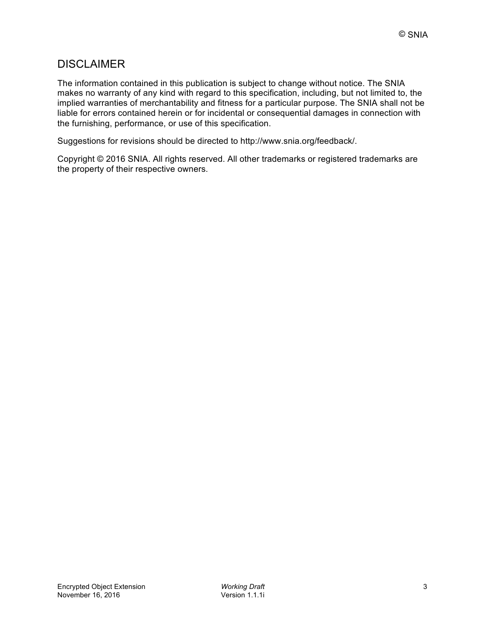### **DISCLAIMER**

The information contained in this publication is subject to change without notice. The SNIA makes no warranty of any kind with regard to this specification, including, but not limited to, the implied warranties of merchantability and fitness for a particular purpose. The SNIA shall not be liable for errors contained herein or for incidental or consequential damages in connection with the furnishing, performance, or use of this specification.

Suggestions for revisions should be directed to http://www.snia.org/feedback/.

Copyright © 2016 SNIA. All rights reserved. All other trademarks or registered trademarks are the property of their respective owners.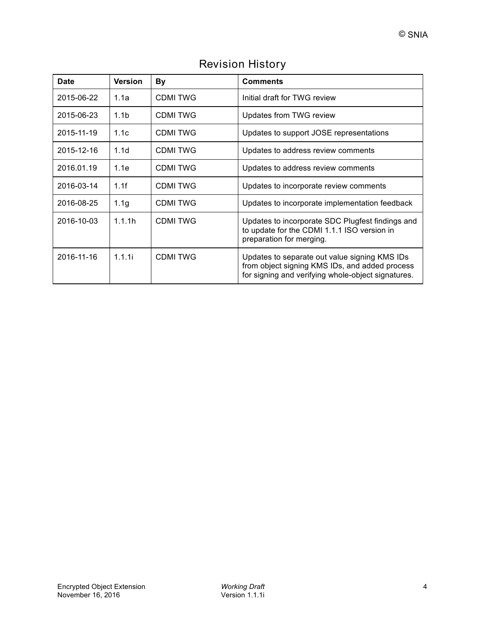| <b>Date</b> | <b>Version</b>   | By             | <b>Comments</b>                                                                                                                                       |
|-------------|------------------|----------------|-------------------------------------------------------------------------------------------------------------------------------------------------------|
| 2015-06-22  | 1.1a             | CDMI TWG       | Initial draft for TWG review                                                                                                                          |
| 2015-06-23  | 1.1 <sub>b</sub> | <b>CDMITWG</b> | Updates from TWG review                                                                                                                               |
| 2015-11-19  | 1.1c             | <b>CDMITWG</b> | Updates to support JOSE representations                                                                                                               |
| 2015-12-16  | 1.1 <sub>d</sub> | <b>CDMITWG</b> | Updates to address review comments                                                                                                                    |
| 2016.01.19  | 1.1e             | <b>CDMITWG</b> | Updates to address review comments                                                                                                                    |
| 2016-03-14  | 1.1f             | <b>CDMITWG</b> | Updates to incorporate review comments                                                                                                                |
| 2016-08-25  | 1.1 <sub>g</sub> | <b>CDMITWG</b> | Updates to incorporate implementation feedback                                                                                                        |
| 2016-10-03  | 1.1.1h           | CDMI TWG       | Updates to incorporate SDC Plugfest findings and<br>to update for the CDMI 1.1.1 ISO version in<br>preparation for merging.                           |
| 2016-11-16  | 1.1.1i           | <b>CDMITWG</b> | Updates to separate out value signing KMS IDs<br>from object signing KMS IDs, and added process<br>for signing and verifying whole-object signatures. |

### Revision History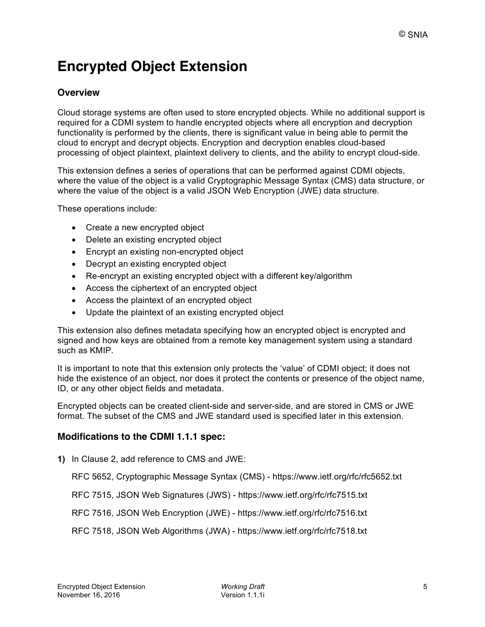## **Encrypted Object Extension**

#### **Overview**

Cloud storage systems are often used to store encrypted objects. While no additional support is required for a CDMI system to handle encrypted objects where all encryption and decryption functionality is performed by the clients, there is significant value in being able to permit the cloud to encrypt and decrypt objects. Encryption and decryption enables cloud-based processing of object plaintext, plaintext delivery to clients, and the ability to encrypt cloud-side.

This extension defines a series of operations that can be performed against CDMI objects, where the value of the object is a valid Cryptographic Message Syntax (CMS) data structure, or where the value of the object is a valid JSON Web Encryption (JWE) data structure.

These operations include:

- Create a new encrypted object
- Delete an existing encrypted object
- Encrypt an existing non-encrypted object
- Decrypt an existing encrypted object
- Re-encrypt an existing encrypted object with a different key/algorithm
- Access the ciphertext of an encrypted object
- Access the plaintext of an encrypted object
- Update the plaintext of an existing encrypted object

This extension also defines metadata specifying how an encrypted object is encrypted and signed and how keys are obtained from a remote key management system using a standard such as KMIP.

It is important to note that this extension only protects the 'value' of CDMI object; it does not hide the existence of an object, nor does it protect the contents or presence of the object name, ID, or any other object fields and metadata.

Encrypted objects can be created client-side and server-side, and are stored in CMS or JWE format. The subset of the CMS and JWE standard used is specified later in this extension.

#### **Modifications to the CDMI 1.1.1 spec:**

**1)** In Clause 2, add reference to CMS and JWE:

RFC 5652, Cryptographic Message Syntax (CMS) - https://www.ietf.org/rfc/rfc5652.txt

RFC 7515, JSON Web Signatures (JWS) - https://www.ietf.org/rfc/rfc7515.txt

RFC 7516, JSON Web Encryption (JWE) - https://www.ietf.org/rfc/rfc7516.txt

RFC 7518, JSON Web Algorithms (JWA) - https://www.ietf.org/rfc/rfc7518.txt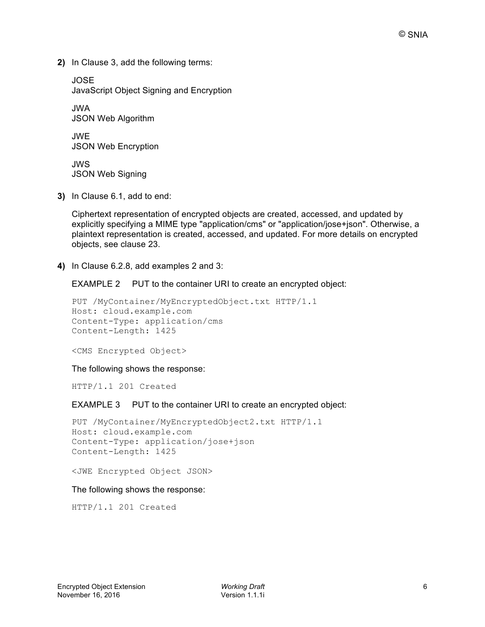**2)** In Clause 3, add the following terms:

JOSE JavaScript Object Signing and Encryption

JWA JSON Web Algorithm

JWE JSON Web Encryption

JWS JSON Web Signing

**3)** In Clause 6.1, add to end:

Ciphertext representation of encrypted objects are created, accessed, and updated by explicitly specifying a MIME type "application/cms" or "application/jose+json". Otherwise, a plaintext representation is created, accessed, and updated. For more details on encrypted objects, see clause 23.

**4)** In Clause 6.2.8, add examples 2 and 3:

EXAMPLE 2 PUT to the container URI to create an encrypted object:

```
PUT /MyContainer/MyEncryptedObject.txt HTTP/1.1
Host: cloud.example.com
Content-Type: application/cms
Content-Length: 1425
```
<CMS Encrypted Object>

#### The following shows the response:

HTTP/1.1 201 Created

#### EXAMPLE 3 PUT to the container URI to create an encrypted object:

PUT /MyContainer/MyEncryptedObject2.txt HTTP/1.1 Host: cloud.example.com Content-Type: application/jose+json Content-Length: 1425

<JWE Encrypted Object JSON>

#### The following shows the response:

HTTP/1.1 201 Created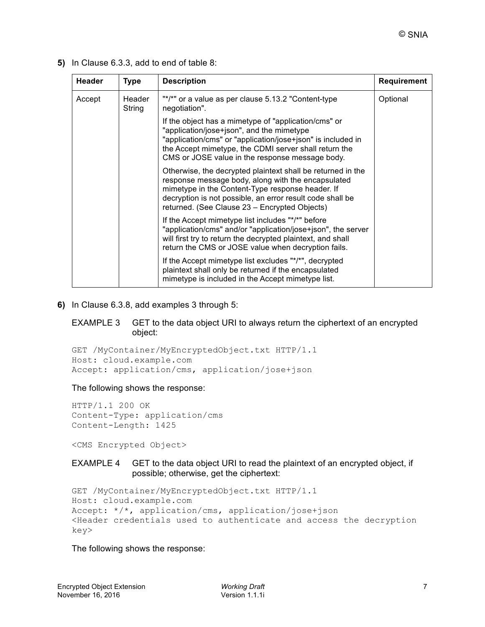**5)** In Clause 6.3.3, add to end of table 8:

| <b>Header</b> | <b>Type</b>      | <b>Description</b>                                                                                                                                                                                                                                                                  | Requirement |
|---------------|------------------|-------------------------------------------------------------------------------------------------------------------------------------------------------------------------------------------------------------------------------------------------------------------------------------|-------------|
| Accept        | Header<br>String | "*/*" or a value as per clause 5.13.2 "Content-type"<br>negotiation".                                                                                                                                                                                                               | Optional    |
|               |                  | If the object has a mimetype of "application/cms" or<br>"application/jose+json", and the mimetype<br>"application/cms" or "application/jose+json" is included in<br>the Accept mimetype, the CDMI server shall return the<br>CMS or JOSE value in the response message body.        |             |
|               |                  | Otherwise, the decrypted plaintext shall be returned in the<br>response message body, along with the encapsulated<br>mimetype in the Content-Type response header. If<br>decryption is not possible, an error result code shall be<br>returned. (See Clause 23 - Encrypted Objects) |             |
|               |                  | If the Accept mimetype list includes "*/*" before<br>"application/cms" and/or "application/jose+json", the server<br>will first try to return the decrypted plaintext, and shall<br>return the CMS or JOSE value when decryption fails.                                             |             |
|               |                  | If the Accept mimetype list excludes "*/*", decrypted<br>plaintext shall only be returned if the encapsulated<br>mimetype is included in the Accept mimetype list.                                                                                                                  |             |

**6)** In Clause 6.3.8, add examples 3 through 5:

EXAMPLE 3 GET to the data object URI to always return the ciphertext of an encrypted object:

```
GET /MyContainer/MyEncryptedObject.txt HTTP/1.1
Host: cloud.example.com
Accept: application/cms, application/jose+json
```
The following shows the response:

HTTP/1.1 200 OK Content-Type: application/cms Content-Length: 1425

<CMS Encrypted Object>

#### EXAMPLE 4 GET to the data object URI to read the plaintext of an encrypted object, if possible; otherwise, get the ciphertext:

```
GET /MyContainer/MyEncryptedObject.txt HTTP/1.1
Host: cloud.example.com
Accept: */*, application/cms, application/jose+json
<Header credentials used to authenticate and access the decryption 
key>
```
The following shows the response: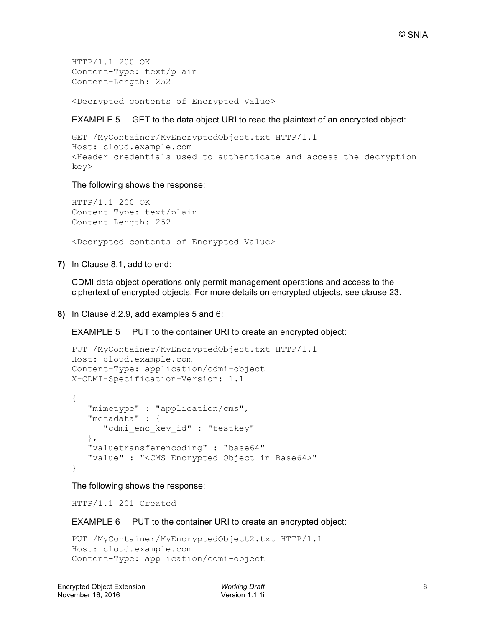HTTP/1.1 200 OK Content-Type: text/plain Content-Length: 252

<Decrypted contents of Encrypted Value>

EXAMPLE 5 GET to the data object URI to read the plaintext of an encrypted object:

```
GET /MyContainer/MyEncryptedObject.txt HTTP/1.1
Host: cloud.example.com
<Header credentials used to authenticate and access the decryption 
key>
```
The following shows the response:

HTTP/1.1 200 OK Content-Type: text/plain Content-Length: 252

<Decrypted contents of Encrypted Value>

**7)** In Clause 8.1, add to end:

CDMI data object operations only permit management operations and access to the ciphertext of encrypted objects. For more details on encrypted objects, see clause 23.

**8)** In Clause 8.2.9, add examples 5 and 6:

EXAMPLE 5 PUT to the container URI to create an encrypted object:

```
PUT /MyContainer/MyEncryptedObject.txt HTTP/1.1
Host: cloud.example.com
Content-Type: application/cdmi-object
X-CDMI-Specification-Version: 1.1
{
    "mimetype" : "application/cms",
    "metadata" : {
     "cdmi enc key id" : "testkey"
    },
    "valuetransferencoding" : "base64"
    "value" : "<CMS Encrypted Object in Base64>"
}
```
The following shows the response:

HTTP/1.1 201 Created

EXAMPLE 6 PUT to the container URI to create an encrypted object:

```
PUT /MyContainer/MyEncryptedObject2.txt HTTP/1.1
Host: cloud.example.com
Content-Type: application/cdmi-object
```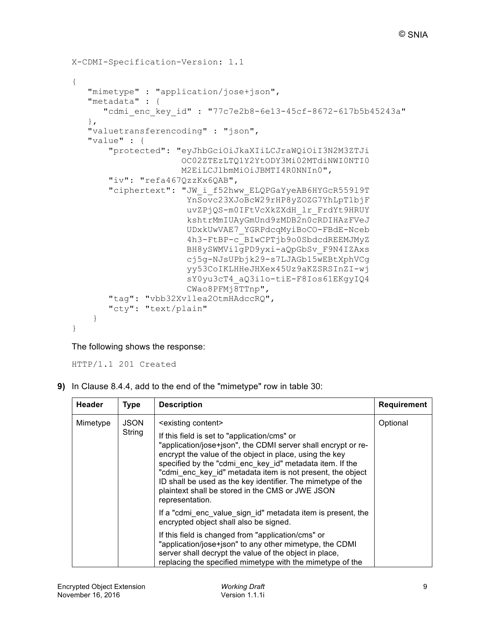```
X-CDMI-Specification-Version: 1.1
{
    "mimetype" : "application/jose+json",
    "metadata" : {
       "cdmi_enc_key_id" : "77c7e2b8-6e13-45cf-8672-617b5b45243a"
    },
    "valuetransferencoding" : "json",
    "value" : {
        "protected": "eyJhbGciOiJkaXIiLCJraWQiOiI3N2M3ZTJi
                       OC02ZTEzLTQ1Y2YtODY3Mi02MTdiNWI0NTI0
                       M2EiLCJlbmMiOiJBMTI4R0NNIn0",
        "iv": "refa467QzzKx6QAB",
       "ciphertext": "JW i f52hww ELQPGaYyeAB6HYGcR55919T
                        YnSovc23XJoBcW29rHP8yZOZG7YhLpT1bjF
                        uvZPjQS-m0IFtVcXkZXdH_lr_FrdYt9HRUY
                        kshtrMmIUAyGmUnd9zMDB2n0cRDIHAzFVeJ
                        UDxkUwVAE7_YGRPdcqMyiBoCO-FBdE-Nceb
                        4h3-FtBP-c_BIwCPTjb9o0SbdcdREEMJMyZ
                        BH8ySWMVi1gPD9yxi-aQpGbSv_F9N4IZAxs
                        cj5g-NJsUPbjk29-s7LJAGb15wEBtXphVCg
                        yy53CoIKLHHeJHXex45Uz9aKZSRSInZI-wj
                        sY0yu3cT4_aQ3i1o-tiE-F8Ios61EKgyIQ4
                        CWao8PFMj8TTnp",
        "tag": "vbb32Xvllea2OtmHAdccRQ",
        "cty": "text/plain"
     }
}
```
The following shows the response:

HTTP/1.1 201 Created

**9)** In Clause 8.4.4, add to the end of the "mimetype" row in table 30:

| <b>Header</b>                     | <b>Type</b> | <b>Description</b>                                                                                                                                                                                                                                                                                                                                                                                                                                                                   | <b>Requirement</b> |
|-----------------------------------|-------------|--------------------------------------------------------------------------------------------------------------------------------------------------------------------------------------------------------------------------------------------------------------------------------------------------------------------------------------------------------------------------------------------------------------------------------------------------------------------------------------|--------------------|
| <b>JSON</b><br>Mimetype<br>String |             | <existing content=""><br/>If this field is set to "application/cms" or<br/>"application/jose+json", the CDMI server shall encrypt or re-<br/>encrypt the value of the object in place, using the key<br/>specified by the "cdmi_enc_key_id" metadata item. If the<br/>"cdmi enc key id" metadata item is not present, the object<br/>ID shall be used as the key identifier. The mimetype of the<br/>plaintext shall be stored in the CMS or JWE JSON<br/>representation.</existing> | Optional           |
|                                   |             | If a "cdmi enc value sign id" metadata item is present, the<br>encrypted object shall also be signed.                                                                                                                                                                                                                                                                                                                                                                                |                    |
|                                   |             | If this field is changed from "application/cms" or<br>"application/jose+json" to any other mimetype, the CDMI<br>server shall decrypt the value of the object in place,<br>replacing the specified mimetype with the mimetype of the                                                                                                                                                                                                                                                 |                    |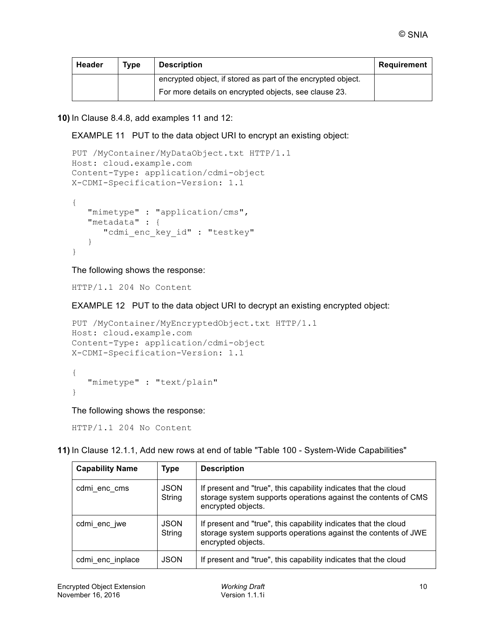| <b>Header</b> | Tvpe | <b>Description</b>                                           | Requirement |
|---------------|------|--------------------------------------------------------------|-------------|
|               |      | encrypted object, if stored as part of the encrypted object. |             |
|               |      | For more details on encrypted objects, see clause 23.        |             |

**10)** In Clause 8.4.8, add examples 11 and 12:

EXAMPLE 11 PUT to the data object URI to encrypt an existing object:

```
PUT /MyContainer/MyDataObject.txt HTTP/1.1
Host: cloud.example.com
Content-Type: application/cdmi-object
X-CDMI-Specification-Version: 1.1
{
    "mimetype" : "application/cms",
    "metadata" : {
      "cdmi enc key id" : "testkey"
    }
}
```
The following shows the response:

HTTP/1.1 204 No Content

EXAMPLE 12 PUT to the data object URI to decrypt an existing encrypted object:

```
PUT /MyContainer/MyEncryptedObject.txt HTTP/1.1
Host: cloud.example.com
Content-Type: application/cdmi-object
X-CDMI-Specification-Version: 1.1
{
    "mimetype" : "text/plain"
```
}

The following shows the response:

HTTP/1.1 204 No Content

**11)** In Clause 12.1.1, Add new rows at end of table "Table 100 - System-Wide Capabilities"

| <b>Capability Name</b> | Type                  | <b>Description</b>                                                                                                                                      |
|------------------------|-----------------------|---------------------------------------------------------------------------------------------------------------------------------------------------------|
| cdmi enc cms           | <b>JSON</b><br>String | If present and "true", this capability indicates that the cloud<br>storage system supports operations against the contents of CMS<br>encrypted objects. |
| cdmi enc jwe           | <b>JSON</b><br>String | If present and "true", this capability indicates that the cloud<br>storage system supports operations against the contents of JWE<br>encrypted objects. |
| cdmi enc inplace       | <b>JSON</b>           | If present and "true", this capability indicates that the cloud                                                                                         |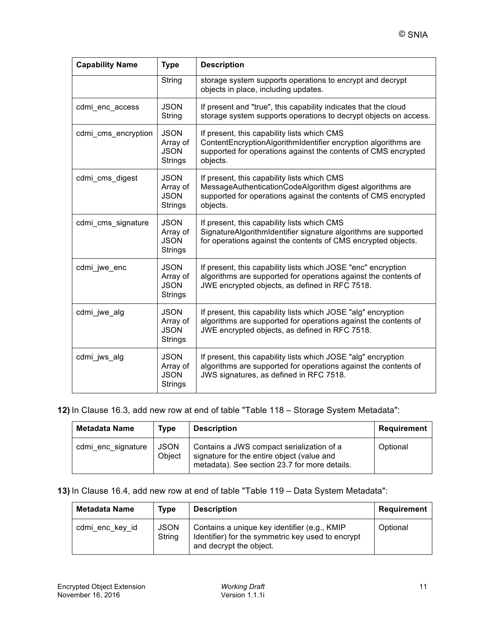| <b>Capability Name</b> | <b>Type</b>                                              | <b>Description</b>                                                                                                                                                                          |
|------------------------|----------------------------------------------------------|---------------------------------------------------------------------------------------------------------------------------------------------------------------------------------------------|
|                        | String                                                   | storage system supports operations to encrypt and decrypt<br>objects in place, including updates.                                                                                           |
| cdmi_enc_access        | <b>JSON</b><br>String                                    | If present and "true", this capability indicates that the cloud<br>storage system supports operations to decrypt objects on access.                                                         |
| cdmi_cms_encryption    | <b>JSON</b><br>Array of<br><b>JSON</b><br><b>Strings</b> | If present, this capability lists which CMS<br>ContentEncryptionAlgorithmIdentifier encryption algorithms are<br>supported for operations against the contents of CMS encrypted<br>objects. |
| cdmi cms digest        | <b>JSON</b><br>Array of<br><b>JSON</b><br>Strings        | If present, this capability lists which CMS<br>MessageAuthenticationCodeAlgorithm digest algorithms are<br>supported for operations against the contents of CMS encrypted<br>objects.       |
| cdmi cms signature     | <b>JSON</b><br>Array of<br><b>JSON</b><br>Strings        | If present, this capability lists which CMS<br>SignatureAlgorithmIdentifier signature algorithms are supported<br>for operations against the contents of CMS encrypted objects.             |
| cdmi_jwe_enc           | <b>JSON</b><br>Array of<br><b>JSON</b><br><b>Strings</b> | If present, this capability lists which JOSE "enc" encryption<br>algorithms are supported for operations against the contents of<br>JWE encrypted objects, as defined in RFC 7518.          |
| cdmi_jwe_alg           | <b>JSON</b><br>Array of<br><b>JSON</b><br><b>Strings</b> | If present, this capability lists which JOSE "alg" encryption<br>algorithms are supported for operations against the contents of<br>JWE encrypted objects, as defined in RFC 7518.          |
| cdmi_jws_alg           | <b>JSON</b><br>Array of<br><b>JSON</b><br>Strings        | If present, this capability lists which JOSE "alg" encryption<br>algorithms are supported for operations against the contents of<br>JWS signatures, as defined in RFC 7518.                 |

#### **12)** In Clause 16.3, add new row at end of table "Table 118 – Storage System Metadata":

| <b>Metadata Name</b> | <b>Type</b>           | <b>Description</b>                                                                                                                       | Requirement |
|----------------------|-----------------------|------------------------------------------------------------------------------------------------------------------------------------------|-------------|
| cdmi enc signature   | <b>JSON</b><br>Obiect | Contains a JWS compact serialization of a<br>signature for the entire object (value and<br>metadata). See section 23.7 for more details. | Optional    |

#### **13)** In Clause 16.4, add new row at end of table "Table 119 – Data System Metadata":

| Metadata Name   | <b>Type</b>           | <b>Description</b>                                                                                                           | <b>Requirement</b> |
|-----------------|-----------------------|------------------------------------------------------------------------------------------------------------------------------|--------------------|
| cdmi enc key id | <b>JSON</b><br>String | Contains a unique key identifier (e.g., KMIP<br>Identifier) for the symmetric key used to encrypt<br>and decrypt the object. | Optional           |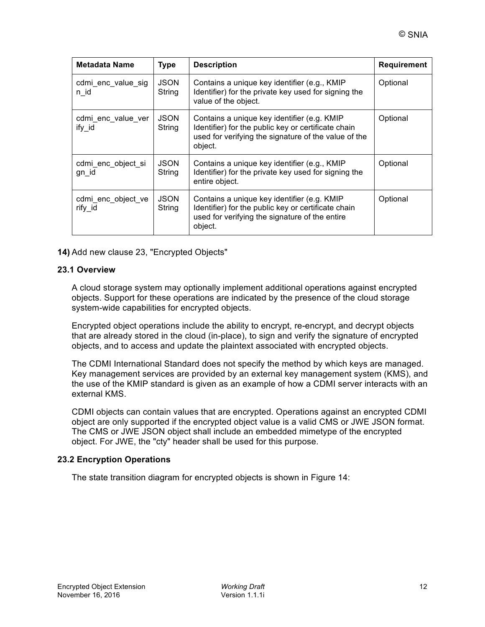| <b>Metadata Name</b>          | <b>Type</b>           | <b>Description</b>                                                                                                                                                    | <b>Requirement</b> |
|-------------------------------|-----------------------|-----------------------------------------------------------------------------------------------------------------------------------------------------------------------|--------------------|
| cdmi_enc_value_sig<br>n id    | <b>JSON</b><br>String | Contains a unique key identifier (e.g., KMIP<br>Identifier) for the private key used for signing the<br>value of the object.                                          | Optional           |
| cdmi_enc_value_ver<br>ify id  | <b>JSON</b><br>String | Contains a unique key identifier (e.g. KMIP<br>Identifier) for the public key or certificate chain<br>used for verifying the signature of the value of the<br>object. | Optional           |
| cdmi_enc_object_si<br>gn_id   | <b>JSON</b><br>String | Contains a unique key identifier (e.g., KMIP<br>Identifier) for the private key used for signing the<br>entire object.                                                | Optional           |
| cdmi_enc_object_ve<br>rify id | <b>JSON</b><br>String | Contains a unique key identifier (e.g. KMIP<br>Identifier) for the public key or certificate chain<br>used for verifying the signature of the entire<br>object.       | Optional           |

**14)** Add new clause 23, "Encrypted Objects"

#### **23.1 Overview**

A cloud storage system may optionally implement additional operations against encrypted objects. Support for these operations are indicated by the presence of the cloud storage system-wide capabilities for encrypted objects.

Encrypted object operations include the ability to encrypt, re-encrypt, and decrypt objects that are already stored in the cloud (in-place), to sign and verify the signature of encrypted objects, and to access and update the plaintext associated with encrypted objects.

The CDMI International Standard does not specify the method by which keys are managed. Key management services are provided by an external key management system (KMS), and the use of the KMIP standard is given as an example of how a CDMI server interacts with an external KMS.

CDMI objects can contain values that are encrypted. Operations against an encrypted CDMI object are only supported if the encrypted object value is a valid CMS or JWE JSON format. The CMS or JWE JSON object shall include an embedded mimetype of the encrypted object. For JWE, the "cty" header shall be used for this purpose.

#### **23.2 Encryption Operations**

The state transition diagram for encrypted objects is shown in Figure 14: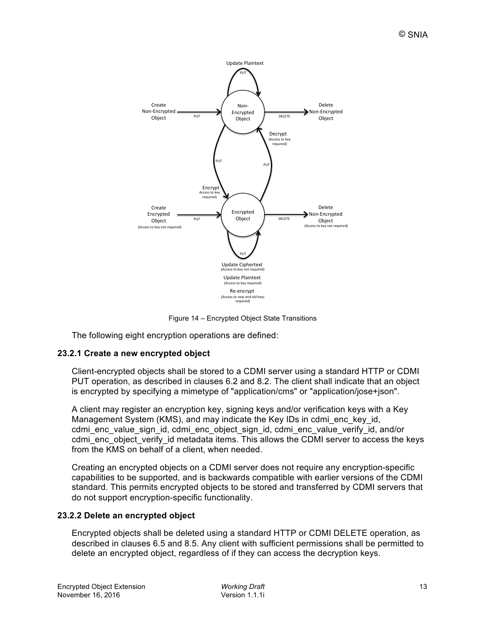

Figure 14 – Encrypted Object State Transitions

The following eight encryption operations are defined:

#### **23.2.1 Create a new encrypted object**

Client-encrypted objects shall be stored to a CDMI server using a standard HTTP or CDMI PUT operation, as described in clauses 6.2 and 8.2. The client shall indicate that an object is encrypted by specifying a mimetype of "application/cms" or "application/jose+json".

A client may register an encryption key, signing keys and/or verification keys with a Key Management System (KMS), and may indicate the Key IDs in cdmi\_enc\_key\_id, cdmi enc\_value\_sign\_id, cdmi\_enc\_object\_sign\_id, cdmi\_enc\_value\_verify\_id, and/or cdmi enc object verify id metadata items. This allows the CDMI server to access the keys from the KMS on behalf of a client, when needed.

Creating an encrypted objects on a CDMI server does not require any encryption-specific capabilities to be supported, and is backwards compatible with earlier versions of the CDMI standard. This permits encrypted objects to be stored and transferred by CDMI servers that do not support encryption-specific functionality.

#### **23.2.2 Delete an encrypted object**

Encrypted objects shall be deleted using a standard HTTP or CDMI DELETE operation, as described in clauses 6.5 and 8.5. Any client with sufficient permissions shall be permitted to delete an encrypted object, regardless of if they can access the decryption keys.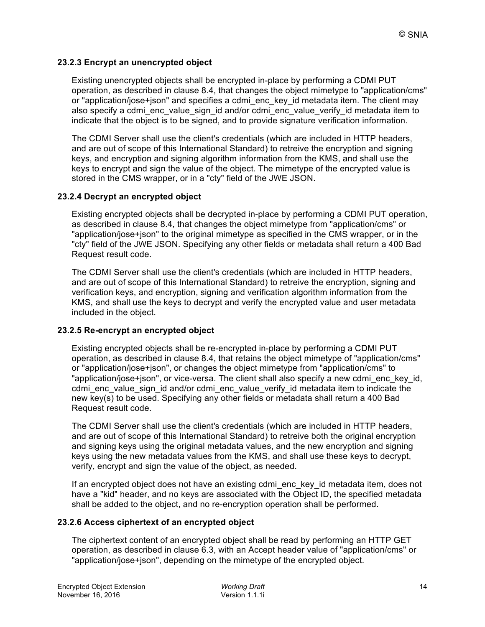#### **23.2.3 Encrypt an unencrypted object**

Existing unencrypted objects shall be encrypted in-place by performing a CDMI PUT operation, as described in clause 8.4, that changes the object mimetype to "application/cms" or "application/jose+json" and specifies a cdmi\_enc\_key\_id metadata item. The client may also specify a cdmi enc value sign id and/or cdmi enc value verify id metadata item to indicate that the object is to be signed, and to provide signature verification information.

The CDMI Server shall use the client's credentials (which are included in HTTP headers, and are out of scope of this International Standard) to retreive the encryption and signing keys, and encryption and signing algorithm information from the KMS, and shall use the keys to encrypt and sign the value of the object. The mimetype of the encrypted value is stored in the CMS wrapper, or in a "cty" field of the JWE JSON.

#### **23.2.4 Decrypt an encrypted object**

Existing encrypted objects shall be decrypted in-place by performing a CDMI PUT operation, as described in clause 8.4, that changes the object mimetype from "application/cms" or "application/jose+json" to the original mimetype as specified in the CMS wrapper, or in the "cty" field of the JWE JSON. Specifying any other fields or metadata shall return a 400 Bad Request result code.

The CDMI Server shall use the client's credentials (which are included in HTTP headers, and are out of scope of this International Standard) to retreive the encryption, signing and verification keys, and encryption, signing and verification algorithm information from the KMS, and shall use the keys to decrypt and verify the encrypted value and user metadata included in the object.

#### **23.2.5 Re-encrypt an encrypted object**

Existing encrypted objects shall be re-encrypted in-place by performing a CDMI PUT operation, as described in clause 8.4, that retains the object mimetype of "application/cms" or "application/jose+json", or changes the object mimetype from "application/cms" to "application/jose+json", or vice-versa. The client shall also specify a new cdmi\_enc\_key\_id, cdmi\_enc\_value\_sign\_id and/or cdmi\_enc\_value\_verify\_id metadata item to indicate the new key(s) to be used. Specifying any other fields or metadata shall return a 400 Bad Request result code.

The CDMI Server shall use the client's credentials (which are included in HTTP headers, and are out of scope of this International Standard) to retreive both the original encryption and signing keys using the original metadata values, and the new encryption and signing keys using the new metadata values from the KMS, and shall use these keys to decrypt, verify, encrypt and sign the value of the object, as needed.

If an encrypted object does not have an existing cdmi\_enc\_key\_id metadata item, does not have a "kid" header, and no keys are associated with the Object ID, the specified metadata shall be added to the object, and no re-encryption operation shall be performed.

#### **23.2.6 Access ciphertext of an encrypted object**

The ciphertext content of an encrypted object shall be read by performing an HTTP GET operation, as described in clause 6.3, with an Accept header value of "application/cms" or "application/jose+json", depending on the mimetype of the encrypted object.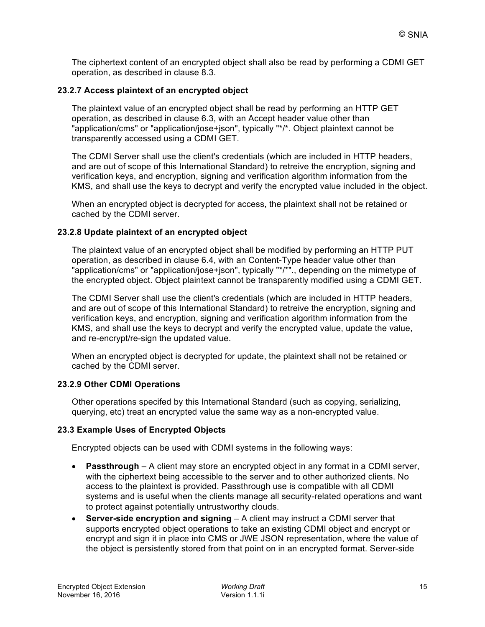The ciphertext content of an encrypted object shall also be read by performing a CDMI GET operation, as described in clause 8.3.

#### **23.2.7 Access plaintext of an encrypted object**

The plaintext value of an encrypted object shall be read by performing an HTTP GET operation, as described in clause 6.3, with an Accept header value other than "application/cms" or "application/jose+json", typically "\*/\*. Object plaintext cannot be transparently accessed using a CDMI GET.

The CDMI Server shall use the client's credentials (which are included in HTTP headers, and are out of scope of this International Standard) to retreive the encryption, signing and verification keys, and encryption, signing and verification algorithm information from the KMS, and shall use the keys to decrypt and verify the encrypted value included in the object.

When an encrypted object is decrypted for access, the plaintext shall not be retained or cached by the CDMI server.

#### **23.2.8 Update plaintext of an encrypted object**

The plaintext value of an encrypted object shall be modified by performing an HTTP PUT operation, as described in clause 6.4, with an Content-Type header value other than "application/cms" or "application/jose+json", typically "\*/\*"., depending on the mimetype of the encrypted object. Object plaintext cannot be transparently modified using a CDMI GET.

The CDMI Server shall use the client's credentials (which are included in HTTP headers, and are out of scope of this International Standard) to retreive the encryption, signing and verification keys, and encryption, signing and verification algorithm information from the KMS, and shall use the keys to decrypt and verify the encrypted value, update the value, and re-encrypt/re-sign the updated value.

When an encrypted object is decrypted for update, the plaintext shall not be retained or cached by the CDMI server.

#### **23.2.9 Other CDMI Operations**

Other operations specifed by this International Standard (such as copying, serializing, querying, etc) treat an encrypted value the same way as a non-encrypted value.

#### **23.3 Example Uses of Encrypted Objects**

Encrypted objects can be used with CDMI systems in the following ways:

- **Passthrough** A client may store an encrypted object in any format in a CDMI server, with the ciphertext being accessible to the server and to other authorized clients. No access to the plaintext is provided. Passthrough use is compatible with all CDMI systems and is useful when the clients manage all security-related operations and want to protect against potentially untrustworthy clouds.
- **Server-side encryption and signing** A client may instruct a CDMI server that supports encrypted object operations to take an existing CDMI object and encrypt or encrypt and sign it in place into CMS or JWE JSON representation, where the value of the object is persistently stored from that point on in an encrypted format. Server-side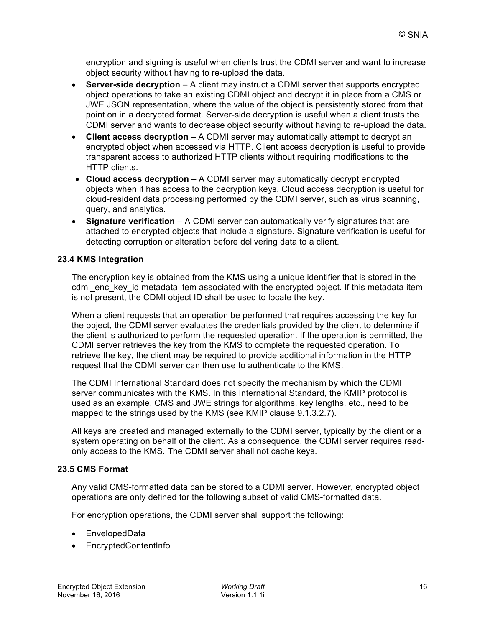encryption and signing is useful when clients trust the CDMI server and want to increase object security without having to re-upload the data.

- **Server-side decryption** A client may instruct a CDMI server that supports encrypted object operations to take an existing CDMI object and decrypt it in place from a CMS or JWE JSON representation, where the value of the object is persistently stored from that point on in a decrypted format. Server-side decryption is useful when a client trusts the CDMI server and wants to decrease object security without having to re-upload the data.
- **Client access decryption** A CDMI server may automatically attempt to decrypt an encrypted object when accessed via HTTP. Client access decryption is useful to provide transparent access to authorized HTTP clients without requiring modifications to the HTTP clients.
- **Cloud access decryption** A CDMI server may automatically decrypt encrypted objects when it has access to the decryption keys. Cloud access decryption is useful for cloud-resident data processing performed by the CDMI server, such as virus scanning, query, and analytics.
- **Signature verification** A CDMI server can automatically verify signatures that are attached to encrypted objects that include a signature. Signature verification is useful for detecting corruption or alteration before delivering data to a client.

#### **23.4 KMS Integration**

The encryption key is obtained from the KMS using a unique identifier that is stored in the cdmi enc key id metadata item associated with the encrypted object. If this metadata item is not present, the CDMI object ID shall be used to locate the key.

When a client requests that an operation be performed that requires accessing the key for the object, the CDMI server evaluates the credentials provided by the client to determine if the client is authorized to perform the requested operation. If the operation is permitted, the CDMI server retrieves the key from the KMS to complete the requested operation. To retrieve the key, the client may be required to provide additional information in the HTTP request that the CDMI server can then use to authenticate to the KMS.

The CDMI International Standard does not specify the mechanism by which the CDMI server communicates with the KMS. In this International Standard, the KMIP protocol is used as an example. CMS and JWE strings for algorithms, key lengths, etc., need to be mapped to the strings used by the KMS (see KMIP clause 9.1.3.2.7).

All keys are created and managed externally to the CDMI server, typically by the client or a system operating on behalf of the client. As a consequence, the CDMI server requires readonly access to the KMS. The CDMI server shall not cache keys.

#### **23.5 CMS Format**

Any valid CMS-formatted data can be stored to a CDMI server. However, encrypted object operations are only defined for the following subset of valid CMS-formatted data.

For encryption operations, the CDMI server shall support the following:

- EnvelopedData
- EncryptedContentInfo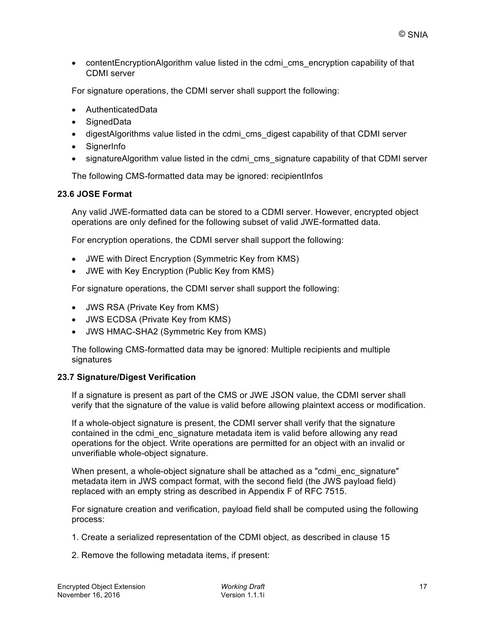• contentEncryptionAlgorithm value listed in the cdmi cms encryption capability of that CDMI server

For signature operations, the CDMI server shall support the following:

- AuthenticatedData
- SignedData
- digestAlgorithms value listed in the cdmi\_cms\_digest capability of that CDMI server
- SignerInfo
- signatureAlgorithm value listed in the cdmi cms signature capability of that CDMI server

The following CMS-formatted data may be ignored: recipientInfos

#### **23.6 JOSE Format**

Any valid JWE-formatted data can be stored to a CDMI server. However, encrypted object operations are only defined for the following subset of valid JWE-formatted data.

For encryption operations, the CDMI server shall support the following:

- JWE with Direct Encryption (Symmetric Key from KMS)
- JWE with Key Encryption (Public Key from KMS)

For signature operations, the CDMI server shall support the following:

- JWS RSA (Private Key from KMS)
- JWS ECDSA (Private Key from KMS)
- JWS HMAC-SHA2 (Symmetric Key from KMS)

The following CMS-formatted data may be ignored: Multiple recipients and multiple signatures

#### **23.7 Signature/Digest Verification**

If a signature is present as part of the CMS or JWE JSON value, the CDMI server shall verify that the signature of the value is valid before allowing plaintext access or modification.

If a whole-object signature is present, the CDMI server shall verify that the signature contained in the cdmi\_enc\_signature metadata item is valid before allowing any read operations for the object. Write operations are permitted for an object with an invalid or unverifiable whole-object signature.

When present, a whole-object signature shall be attached as a "cdmi enc signature" metadata item in JWS compact format, with the second field (the JWS payload field) replaced with an empty string as described in Appendix F of RFC 7515.

For signature creation and verification, payload field shall be computed using the following process:

- 1. Create a serialized representation of the CDMI object, as described in clause 15
- 2. Remove the following metadata items, if present: